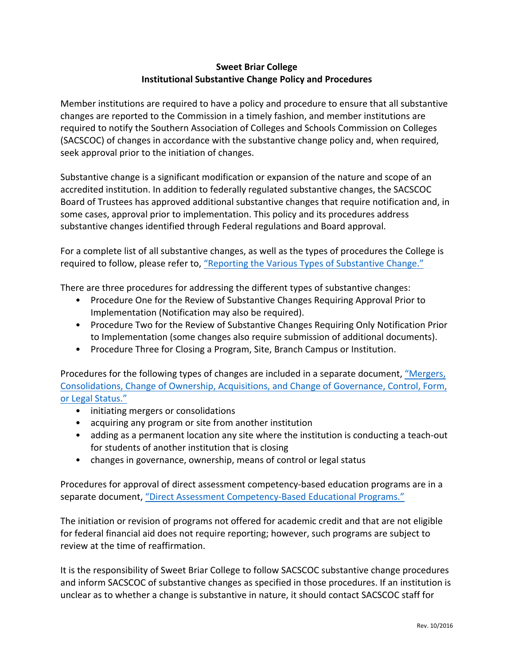## **Sweet Briar College Institutional Substantive Change Policy and Procedures**

Member institutions are required to have a policy and procedure to ensure that all substantive changes are reported to the Commission in a timely fashion, and member institutions are required to notify the Southern Association of Colleges and Schools Commission on Colleges (SACSCOC) of changes in accordance with the substantive change policy and, when required, seek approval prior to the initiation of changes.

Substantive change is a significant modification or expansion of the nature and scope of an accredited institution. In addition to federally regulated substantive changes, the SACSCOC Board of Trustees has approved additional substantive changes that require notification and, in some cases, approval prior to implementation. This policy and its procedures address substantive changes identified through Federal regulations and Board approval.

For a complete list of all substantive changes, as well as the types of procedures the College is required to follow, please refer to, "Reporting the Various Types of Substantive Change."

There are three procedures for addressing the different types of substantive changes:

- Procedure One for the Review of Substantive Changes Requiring Approval Prior to Implementation (Notification may also be required).
- Procedure Two for the Review of Substantive Changes Requiring Only Notification Prior to Implementation (some changes also require submission of additional documents).
- Procedure Three for Closing a Program, Site, Branch Campus or Institution.

Procedures for the following types of changes are included in a separate document, "Mergers, Consolidations, Change of Ownership, Acquisitions, and Change of Governance, Control, Form, or Legal Status."

- initiating mergers or consolidations
- acquiring any program or site from another institution
- adding as a permanent location any site where the institution is conducting a teach-out for students of another institution that is closing
- changes in governance, ownership, means of control or legal status

Procedures for approval of direct assessment competency-based education programs are in a separate document, "Direct Assessment Competency-Based Educational Programs."

The initiation or revision of programs not offered for academic credit and that are not eligible for federal financial aid does not require reporting; however, such programs are subject to review at the time of reaffirmation.

It is the responsibility of Sweet Briar College to follow SACSCOC substantive change procedures and inform SACSCOC of substantive changes as specified in those procedures. If an institution is unclear as to whether a change is substantive in nature, it should contact SACSCOC staff for